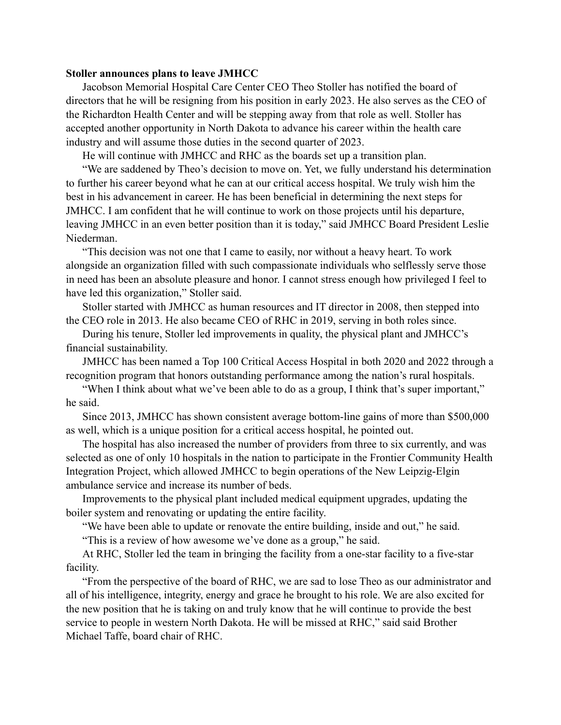## **Stoller announces plans to leave JMHCC**

Jacobson Memorial Hospital Care Center CEO Theo Stoller has notified the board of directors that he will be resigning from his position in early 2023. He also serves as the CEO of the Richardton Health Center and will be stepping away from that role as well. Stoller has accepted another opportunity in North Dakota to advance his career within the health care industry and will assume those duties in the second quarter of 2023.

He will continue with JMHCC and RHC as the boards set up a transition plan.

"We are saddened by Theo's decision to move on. Yet, we fully understand his determination to further his career beyond what he can at our critical access hospital. We truly wish him the best in his advancement in career. He has been beneficial in determining the next steps for JMHCC. I am confident that he will continue to work on those projects until his departure, leaving JMHCC in an even better position than it is today," said JMHCC Board President Leslie Niederman.

"This decision was not one that I came to easily, nor without a heavy heart. To work alongside an organization filled with such compassionate individuals who selflessly serve those in need has been an absolute pleasure and honor. I cannot stress enough how privileged I feel to have led this organization," Stoller said.

Stoller started with JMHCC as human resources and IT director in 2008, then stepped into the CEO role in 2013. He also became CEO of RHC in 2019, serving in both roles since.

During his tenure, Stoller led improvements in quality, the physical plant and JMHCC's financial sustainability.

JMHCC has been named a Top 100 Critical Access Hospital in both 2020 and 2022 through a recognition program that honors outstanding performance among the nation's rural hospitals.

"When I think about what we've been able to do as a group, I think that's super important," he said.

Since 2013, JMHCC has shown consistent average bottom-line gains of more than \$500,000 as well, which is a unique position for a critical access hospital, he pointed out.

The hospital has also increased the number of providers from three to six currently, and was selected as one of only 10 hospitals in the nation to participate in the Frontier Community Health Integration Project, which allowed JMHCC to begin operations of the New Leipzig-Elgin ambulance service and increase its number of beds.

Improvements to the physical plant included medical equipment upgrades, updating the boiler system and renovating or updating the entire facility.

"We have been able to update or renovate the entire building, inside and out," he said.

"This is a review of how awesome we've done as a group," he said.

At RHC, Stoller led the team in bringing the facility from a one-star facility to a five-star facility.

"From the perspective of the board of RHC, we are sad to lose Theo as our administrator and all of his intelligence, integrity, energy and grace he brought to his role. We are also excited for the new position that he is taking on and truly know that he will continue to provide the best service to people in western North Dakota. He will be missed at RHC," said said Brother Michael Taffe, board chair of RHC.